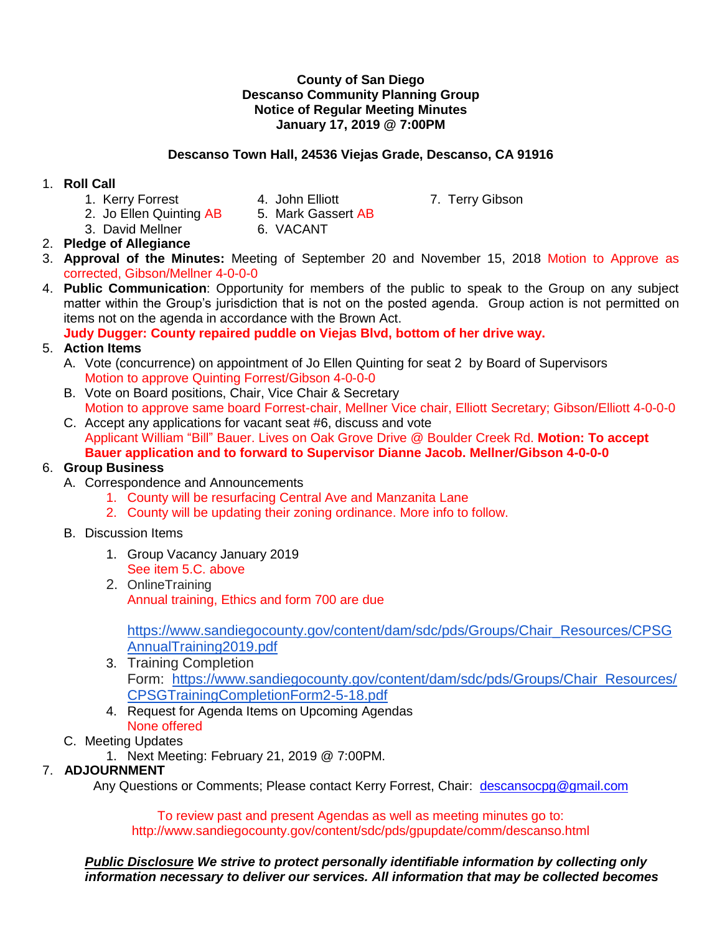#### **County of San Diego Descanso Community Planning Group Notice of Regular Meeting Minutes January 17, 2019 @ 7:00PM**

### **Descanso Town Hall, 24536 Viejas Grade, Descanso, CA 91916**

### 1. **Roll Call**

- 
- 

- 1. Kerry Forrest **4. John Elliott** 7. Terry Gibson 2. John Elliott 7. Terry Gibson 2. Jo Ellen Quinting AB
- 3. David Mellner 6. VACANT

# 2. **Pledge of Allegiance**

- 3. **Approval of the Minutes:** Meeting of September 20 and November 15, 2018 Motion to Approve as corrected, Gibson/Mellner 4-0-0-0
- 4. **Public Communication**: Opportunity for members of the public to speak to the Group on any subject matter within the Group's jurisdiction that is not on the posted agenda. Group action is not permitted on items not on the agenda in accordance with the Brown Act.
	- **Judy Dugger: County repaired puddle on Viejas Blvd, bottom of her drive way.**

## 5. **Action Items**

- A. Vote (concurrence) on appointment of Jo Ellen Quinting for seat 2 by Board of Supervisors Motion to approve Quinting Forrest/Gibson 4-0-0-0
- B. Vote on Board positions, Chair, Vice Chair & Secretary Motion to approve same board Forrest-chair, Mellner Vice chair, Elliott Secretary; Gibson/Elliott 4-0-0-0
- C. Accept any applications for vacant seat #6, discuss and vote Applicant William "Bill" Bauer. Lives on Oak Grove Drive @ Boulder Creek Rd. **Motion: To accept Bauer application and to forward to Supervisor Dianne Jacob. Mellner/Gibson 4-0-0-0**

### 6. **Group Business**

- A. Correspondence and Announcements
	- 1. County will be resurfacing Central Ave and Manzanita Lane
	- 2. County will be updating their zoning ordinance. More info to follow.

#### B. Discussion Items

- 1. Group Vacancy January 2019 See item 5.C. above
- 2. OnlineTraining Annual training, Ethics and form 700 are due

[https://www.sandiegocounty.gov/content/dam/sdc/pds/Groups/Chair\\_Resources/CPSG](https://www.sandiegocounty.gov/content/dam/sdc/pds/Groups/Chair_Resources/CPSGAnnualTraining2019.pdf) [AnnualTraining2019.pdf](https://www.sandiegocounty.gov/content/dam/sdc/pds/Groups/Chair_Resources/CPSGAnnualTraining2019.pdf)

- 3. Training Completion Form: [https://www.sandiegocounty.gov/content/dam/sdc/pds/Groups/Chair\\_Resources/](https://www.sandiegocounty.gov/content/dam/sdc/pds/Groups/Chair_Resources/CPSGTrainingCompletionForm2-5-18.pdf) [CPSGTrainingCompletionForm2-5-18.pdf](https://www.sandiegocounty.gov/content/dam/sdc/pds/Groups/Chair_Resources/CPSGTrainingCompletionForm2-5-18.pdf)
- 4. Request for Agenda Items on Upcoming Agendas None offered
- C. Meeting Updates
	- 1. Next Meeting: February 21, 2019 @ 7:00PM.

## 7. **ADJOURNMENT**

Any Questions or Comments; Please contact Kerry Forrest, Chair: [descansocpg@gmail.com](mailto:descansocpg@gmail.com)

To review past and present Agendas as well as meeting minutes go to: http://www.sandiegocounty.gov/content/sdc/pds/gpupdate/comm/descanso.html

*Public Disclosure We strive to protect personally identifiable information by collecting only information necessary to deliver our services. All information that may be collected becomes*